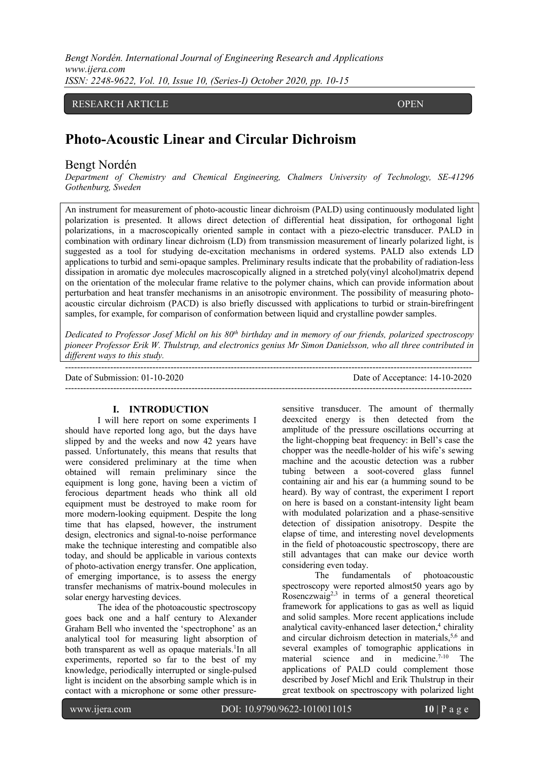*Bengt Nordén. International Journal of Engineering Research and Applications www.ijera.com ISSN: 2248-9622, Vol. 10, Issue 10, (Series-I) October 2020, pp. 10-15*

# RESEARCH ARTICLE OPEN

# **Photo-Acoustic Linear and Circular Dichroism**

## Bengt Nordén

 $\overline{\phantom{a}}$ 

*Department of Chemistry and Chemical Engineering, Chalmers University of Technology, SE-41296 Gothenburg, Sweden*

An instrument for measurement of photo-acoustic linear dichroism (PALD) using continuously modulated light polarization is presented. It allows direct detection of differential heat dissipation, for orthogonal light polarizations, in a macroscopically oriented sample in contact with a piezo-electric transducer. PALD in combination with ordinary linear dichroism (LD) from transmission measurement of linearly polarized light, is suggested as a tool for studying de-excitation mechanisms in ordered systems. PALD also extends LD applications to turbid and semi-opaque samples. Preliminary results indicate that the probability of radiation-less dissipation in aromatic dye molecules macroscopically aligned in a stretched poly(vinyl alcohol)matrix depend on the orientation of the molecular frame relative to the polymer chains, which can provide information about perturbation and heat transfer mechanisms in an anisotropic environment. The possibility of measuring photoacoustic circular dichroism (PACD) is also briefly discussed with applications to turbid or strain-birefringent samples, for example, for comparison of conformation between liquid and crystalline powder samples.

*Dedicated to Professor Josef Michl on his 80th birthday and in memory of our friends, polarized spectroscopy pioneer Professor Erik W. Thulstrup, and electronics genius Mr Simon Danielsson, who all three contributed in different ways to this study.*

| Date of Submission: $01-10-2020$ | Date of Acceptance: 14-10-2020 |
|----------------------------------|--------------------------------|
|                                  |                                |

#### **I. INTRODUCTION**

I will here report on some experiments I should have reported long ago, but the days have slipped by and the weeks and now 42 years have passed. Unfortunately, this means that results that were considered preliminary at the time when obtained will remain preliminary since the equipment is long gone, having been a victim of ferocious department heads who think all old equipment must be destroyed to make room for more modern-looking equipment. Despite the long time that has elapsed, however, the instrument design, electronics and signal-to-noise performance make the technique interesting and compatible also today, and should be applicable in various contexts of photo-activation energy transfer. One application, of emerging importance, is to assess the energy transfer mechanisms of matrix-bound molecules in solar energy harvesting devices.

The idea of the photoacoustic spectroscopy goes back one and a half century to Alexander Graham Bell who invented the 'spectrophone' as an analytical tool for measuring light absorption of both transparent as well as opaque materials.<sup>1</sup>In all experiments, reported so far to the best of my knowledge, periodically interrupted or single-pulsed light is incident on the absorbing sample which is in contact with a microphone or some other pressuresensitive transducer. The amount of thermally deexcited energy is then detected from the amplitude of the pressure oscillations occurring at the light-chopping beat frequency: in Bell's case the chopper was the needle-holder of his wife's sewing machine and the acoustic detection was a rubber tubing between a soot-covered glass funnel containing air and his ear (a humming sound to be heard). By way of contrast, the experiment I report on here is based on a constant-intensity light beam with modulated polarization and a phase-sensitive detection of dissipation anisotropy. Despite the elapse of time, and interesting novel developments in the field of photoacoustic spectroscopy, there are still advantages that can make our device worth considering even today.

The fundamentals of photoacoustic spectroscopy were reported almost50 years ago by Rosenczwaig<sup>2,3</sup> in terms of a general theoretical framework for applications to gas as well as liquid and solid samples. More recent applications include analytical cavity-enhanced laser detection, <sup>4</sup> chirality and circular dichroism detection in materials,<sup>5,6</sup> and several examples of tomographic applications in material science and in medicine.7-10 The applications of PALD could complement those described by Josef Michl and Erik Thulstrup in their great textbook on spectroscopy with polarized light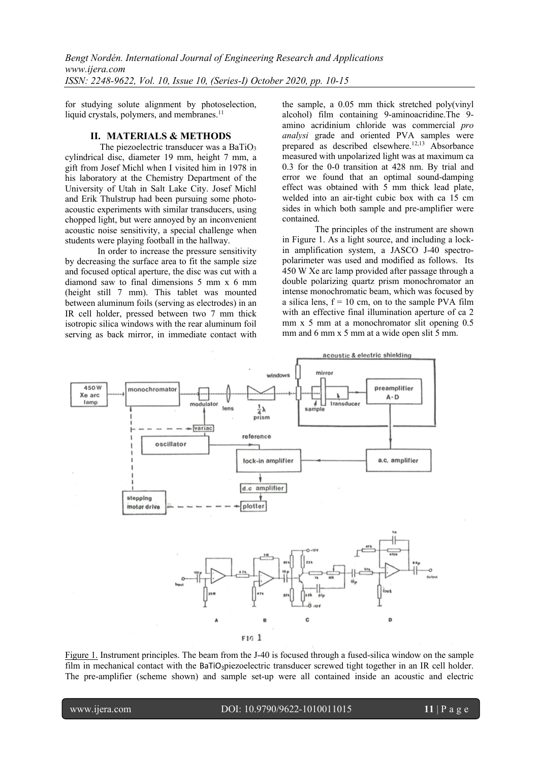for studying solute alignment by photoselection, liquid crystals, polymers, and membranes.<sup>11</sup>

#### **II. MATERIALS & METHODS**

The piezoelectric transducer was a BaTiO<sub>3</sub> cylindrical disc, diameter 19 mm, height 7 mm, a gift from Josef Michl when I visited him in 1978 in his laboratory at the Chemistry Department of the University of Utah in Salt Lake City. Josef Michl and Erik Thulstrup had been pursuing some photoacoustic experiments with similar transducers, using chopped light, but were annoyed by an inconvenient acoustic noise sensitivity, a special challenge when students were playing football in the hallway.

In order to increase the pressure sensitivity by decreasing the surface area to fit the sample size and focused optical aperture, the disc was cut with a diamond saw to final dimensions 5 mm x 6 mm (height still 7 mm). This tablet was mounted between aluminum foils (serving as electrodes) in an IR cell holder, pressed between two 7 mm thick isotropic silica windows with the rear aluminum foil serving as back mirror, in immediate contact with

the sample, a 0.05 mm thick stretched poly(vinyl alcohol) film containing 9-aminoacridine.The 9 amino acridinium chloride was commercial *pro analysi* grade and oriented PVA samples were prepared as described elsewhere.<sup>12,13</sup> Absorbance measured with unpolarized light was at maximum ca 0.3 for the 0-0 transition at 428 nm. By trial and error we found that an optimal sound-damping effect was obtained with 5 mm thick lead plate, welded into an air-tight cubic box with ca 15 cm sides in which both sample and pre-amplifier were contained.

The principles of the instrument are shown in Figure 1. As a light source, and including a lockin amplification system, a JASCO J-40 spectropolarimeter was used and modified as follows. Its 450 W Xe arc lamp provided after passage through a double polarizing quartz prism monochromator an intense monochromatic beam, which was focused by a silica lens,  $f = 10$  cm, on to the sample PVA film with an effective final illumination aperture of ca 2 mm x 5 mm at a monochromator slit opening 0.5 mm and 6 mm x 5 mm at a wide open slit 5 mm.



Figure 1. Instrument principles. The beam from the J-40 is focused through a fused-silica window on the sample film in mechanical contact with the BaTiO<sub>3</sub>piezoelectric transducer screwed tight together in an IR cell holder. The pre-amplifier (scheme shown) and sample set-up were all contained inside an acoustic and electric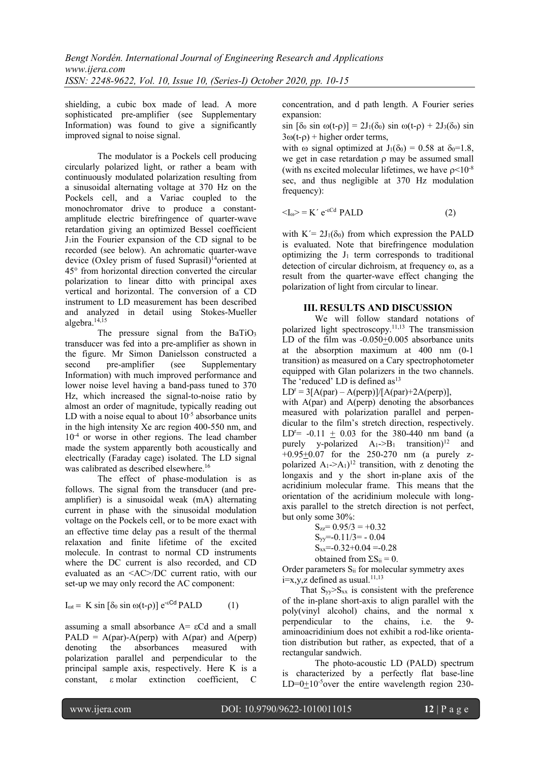shielding, a cubic box made of lead. A more sophisticated pre-amplifier (see Supplementary Information) was found to give a significantly improved signal to noise signal.

The modulator is a Pockels cell producing circularly polarized light, or rather a beam with continuously modulated polarization resulting from a sinusoidal alternating voltage at 370 Hz on the Pockels cell, and a Variac coupled to the monochromator drive to produce a constantamplitude electric birefringence of quarter-wave retardation giving an optimized Bessel coefficient  $J_1$ in the Fourier expansion of the CD signal to be recorded (see below). An achromatic quarter-wave device (Oxley prism of fused Suprasil) 14oriented at 45° from horizontal direction converted the circular polarization to linear ditto with principal axes vertical and horizontal. The conversion of a CD instrument to LD measurement has been described and analyzed in detail using Stokes-Mueller algebra. 14,15

The pressure signal from the BaTiO<sub>3</sub> transducer was fed into a pre-amplifier as shown in the figure. Mr Simon Danielsson constructed a second pre-amplifier (see Supplementary Information) with much improved performance and lower noise level having a band-pass tuned to 370 Hz, which increased the signal-to-noise ratio by almost an order of magnitude, typically reading out LD with a noise equal to about  $10^{-5}$  absorbance units in the high intensity Xe arc region 400-550 nm, and  $10^{-4}$  or worse in other regions. The lead chamber made the system apparently both acoustically and electrically (Faraday cage) isolated. The LD signal was calibrated as described elsewhere.<sup>16</sup>

The effect of phase-modulation is as follows. The signal from the transducer (and preamplifier) is a sinusoidal weak (mA) alternating current in phase with the sinusoidal modulation voltage on the Pockels cell, or to be more exact with an effective time delay pas a result of the thermal relaxation and finite lifetime of the excited molecule. In contrast to normal CD instruments where the DC current is also recorded, and CD evaluated as an <AC>/DC current ratio, with our set-up we may only record the AC component:

$$
I_{\omega t} = K \sin [\delta_0 \sin \omega (t-\rho)] e^{-cCd} PALD \qquad (1)
$$

assuming a small absorbance  $A = \varepsilon Cd$  and a small PALD =  $A(par)$ - $A(perp)$  with  $A(par)$  and  $A(perp)$ denoting the absorbances measured with polarization parallel and perpendicular to the principal sample axis, respectively. Here K is a constant, e molar extinction coefficient, C

concentration, and d path length. A Fourier series expansion:

 $\sin [\delta_0 \sin \omega(t-\rho)] = 2J_1(\delta_0) \sin \omega(t-\rho) + 2J_3(\delta_0) \sin$  $3\omega(t-\rho)$  + higher order terms,

with  $\omega$  signal optimized at  $J_1(\delta_0) = 0.58$  at  $\delta_0 = 1.8$ , we get in case retardation  $\rho$  may be assumed small (with ns excited molecular lifetimes, we have  $\rho$  <10<sup>-8</sup> sec, and thus negligible at 370 Hz modulation frequency):

$$
\langle I_0 \rangle = K' e^{-cCd} \text{ PALD} \tag{2}
$$

with  $K' = 2J_1(\delta_0)$  from which expression the PALD is evaluated. Note that birefringence modulation optimizing the  $J_1$  term corresponds to traditional detection of circular dichroism, at frequency  $\omega$ , as a result from the quarter-wave effect changing the polarization of light from circular to linear.

#### **III. RESULTS AND DISCUSSION**

We will follow standard notations of polarized light spectroscopy.<sup>11,13</sup> The transmission LD of the film was -0.050+0.005 absorbance units at the absorption maximum at 400 nm (0-1 transition) as measured on a Cary spectrophotometer equipped with Glan polarizers in the two channels. The  $\cdot$ reduced' LD is defined as $^{13}$ 

 $LD<sup>r</sup> = 3[A(par) - A(perp)]/[A(par)+2A(perp)],$ 

with A(par) and A(perp) denoting the absorbances measured with polarization parallel and perpendicular to the film's stretch direction, respectively. LD<sup>r</sup> =  $-0.11 + 0.03$  for the 380-440 nm band (a purely y-polarized  $A_1 > B_1$  transition)<sup>12</sup> and  $+0.95+0.07$  for the 250-270 nm (a purely zpolarized  $A_1$ -> $A_1$ <sup> $12$ </sup> transition, with z denoting the longaxis and y the short in-plane axis of the acridinium molecular frame. This means that the orientation of the acridinium molecule with longaxis parallel to the stretch direction is not perfect, but only some 30%:

> $S_{zz}$ = 0.95/3 = +0.32  $S_{yy} = -0.11/3 = -0.04$  $S_{xx} = -0.32 + 0.04 = -0.28$ obtained from  $\Sigma S_{ii} = 0$ .

Order parameters S<sub>ii</sub> for molecular symmetry axes  $i=x,y,z$  defined as usual.<sup>11,13</sup>

That  $S_{yy} > S_{xx}$  is consistent with the preference of the in-plane short-axis to align parallel with the poly(vinyl alcohol) chains, and the normal x perpendicular to the chains, i.e. the 9 aminoacridinium does not exhibit a rod-like orientation distribution but rather, as expected, that of a rectangular sandwich.

The photo-acoustic LD (PALD) spectrum is characterized by a perfectly flat base-line LD= $0+10^{-5}$ over the entire wavelength region 230-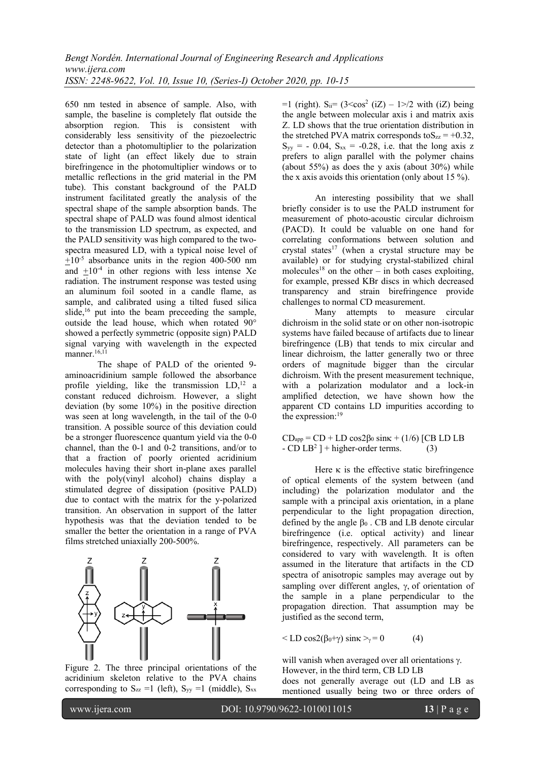650 nm tested in absence of sample. Also, with sample, the baseline is completely flat outside the absorption region. This is consistent with considerably less sensitivity of the piezoelectric detector than a photomultiplier to the polarization state of light (an effect likely due to strain birefringence in the photomultiplier windows or to metallic reflections in the grid material in the PM tube). This constant background of the PALD instrument facilitated greatly the analysis of the spectral shape of the sample absorption bands. The spectral shape of PALD was found almost identical to the transmission LD spectrum, as expected, and the PALD sensitivity was high compared to the twospectra measured LD, with a typical noise level of  $\pm 10^{-5}$  absorbance units in the region 400-500 nm and  $\pm 10^{-4}$  in other regions with less intense Xe radiation. The instrument response was tested using an aluminum foil sooted in a candle flame, as sample, and calibrated using a tilted fused silica slide, $16$  put into the beam preceeding the sample, outside the lead house, which when rotated 90° showed a perfectly symmetric (opposite sign) PALD signal varying with wavelength in the expected manner. $16,11$ 

The shape of PALD of the oriented 9 aminoacridinium sample followed the absorbance profile yielding, like the transmission  $LD<sub>1</sub><sup>12</sup>$  a constant reduced dichroism. However, a slight deviation (by some 10%) in the positive direction was seen at long wavelength, in the tail of the 0-0 transition. A possible source of this deviation could be a stronger fluorescence quantum yield via the 0-0 channel, than the 0-1 and 0-2 transitions, and/or to that a fraction of poorly oriented acridinium molecules having their short in-plane axes parallel with the poly(vinyl alcohol) chains display a stimulated degree of dissipation (positive PALD) due to contact with the matrix for the y-polarized transition. An observation in support of the latter hypothesis was that the deviation tended to be smaller the better the orientation in a range of PVA films stretched uniaxially 200-500%.



Figure 2. The three principal orientations of the acridinium skeleton relative to the PVA chains corresponding to  $S_{zz} =1$  (left),  $S_{yy} =1$  (middle),  $S_{xx}$ 

 $=1$  (right). S<sub>ii</sub> =  $(32$  with (iZ) being the angle between molecular axis i and matrix axis Z. LD shows that the true orientation distribution in the stretched PVA matrix corresponds to  $S_{zz} = +0.32$ ,  $S_{yy} = -0.04$ ,  $S_{xx} = -0.28$ , i.e. that the long axis z prefers to align parallel with the polymer chains (about 55%) as does the y axis (about 30%) while the x axis avoids this orientation (only about 15 %).

An interesting possibility that we shall briefly consider is to use the PALD instrument for measurement of photo-acoustic circular dichroism (PACD). It could be valuable on one hand for correlating conformations between solution and crystal states<sup>17</sup> (when a crystal structure may be available) or for studying crystal-stabilized chiral molecules<sup>18</sup> on the other – in both cases exploiting, for example, pressed KBr discs in which decreased transparency and strain birefringence provide challenges to normal CD measurement.

Many attempts to measure circular dichroism in the solid state or on other non-isotropic systems have failed because of artifacts due to linear birefringence (LB) that tends to mix circular and linear dichroism, the latter generally two or three orders of magnitude bigger than the circular dichroism. With the present measurement technique, with a polarization modulator and a lock-in amplified detection, we have shown how the apparent CD contains LD impurities according to the expression:<sup>19</sup>

 $CD<sub>app</sub> = CD + LD cos2\beta_0 sin\kappa + (1/6) [CB LD LB]$  $-$  CD LB<sup>2</sup> ] + higher-order terms. (3)

Here  $\kappa$  is the effective static birefringence of optical elements of the system between (and including) the polarization modulator and the sample with a principal axis orientation, in a plane perpendicular to the light propagation direction, defined by the angle  $\beta_0$ . CB and LB denote circular birefringence (i.e. optical activity) and linear birefringence, respectively. All parameters can be considered to vary with wavelength. It is often assumed in the literature that artifacts in the CD spectra of anisotropic samples may average out by sampling over different angles,  $\gamma$ , of orientation of the sample in a plane perpendicular to the propagation direction. That assumption may be justified as the second term,

$$
\langle \text{LD} \cos 2(\beta_0 + \gamma) \sin \kappa \rangle = 0 \tag{4}
$$

will vanish when averaged over all orientations  $\gamma$ . However, in the third term, CB LD LB does not generally average out (LD and LB as mentioned usually being two or three orders of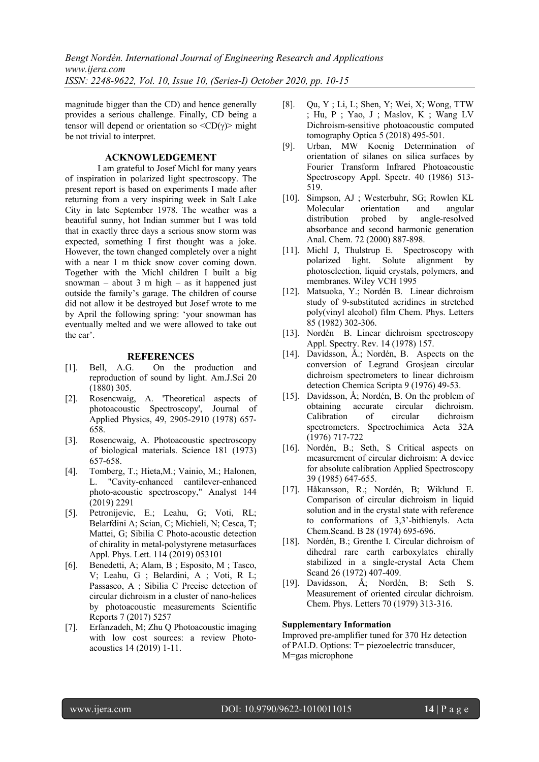magnitude bigger than the CD) and hence generally provides a serious challenge. Finally, CD being a tensor will depend or orientation so  $\langle CD(\gamma)$  might be not trivial to interpret.

# **ACKNOWLEDGEMENT**

I am grateful to Josef Michl for many years of inspiration in polarized light spectroscopy. The present report is based on experiments I made after returning from a very inspiring week in Salt Lake City in late September 1978. The weather was a beautiful sunny, hot Indian summer but I was told that in exactly three days a serious snow storm was expected, something I first thought was a joke. However, the town changed completely over a night with a near 1 m thick snow cover coming down. Together with the Michl children I built a big snowman – about 3 m high – as it happened just outside the family's garage. The children of course did not allow it be destroyed but Josef wrote to me by April the following spring: 'your snowman has eventually melted and we were allowed to take out the car'.

## **REFERENCES**

- [1]. Bell, A.G. On the production and reproduction of sound by light. Am.J.Sci 20 (1880) 305.
- [2]. Rosencwaig, A. 'Theoretical aspects of photoacoustic Spectroscopy', Journal of Applied Physics, 49, 2905-2910 (1978) 657- 658.
- [3]. Rosencwaig, A. Photoacoustic spectroscopy of biological materials. Science 181 (1973) 657-658.
- [4]. Tomberg, T.; Hieta,M.; Vainio, M.; Halonen, L. "Cavity-enhanced cantilever-enhanced photo-acoustic spectroscopy," Analyst 144 (2019) 2291
- [5]. Petronijevic, E.; Leahu, G; Voti, RL; Belarfdini A; Scian, C; Michieli, N; Cesca, T; Mattei, G; Sibilia C Photo-acoustic detection of chirality in metal-polystyrene metasurfaces Appl. Phys. Lett. 114 (2019) 053101
- [6]. Benedetti, A; Alam, B ; Esposito, M ; Tasco, V; Leahu, G ; Belardini, A ; Voti, R L; Passaseo, A ; Sibilia C Precise detection of circular dichroism in a cluster of nano-helices by photoacoustic measurements Scientific Reports 7 (2017) 5257
- [7]. Erfanzadeh, M; Zhu Q Photoacoustic imaging with low cost sources: a review Photoacoustics 14 (2019) 1-11.
- [8]. Qu, Y ; Li, L; Shen, Y; Wei, X; Wong, TTW ; Hu, P ; Yao, J ; Maslov, K ; Wang LV Dichroism-sensitive photoacoustic computed tomography Optica 5 (2018) 495-501.
- [9]. Urban, MW Koenig Determination of orientation of silanes on silica surfaces by Fourier Transform Infrared Photoacoustic Spectroscopy Appl. Spectr. 40 (1986) 513- 519.
- [10]. Simpson, AJ ; Westerbuhr, SG; Rowlen KL Molecular orientation and angular distribution probed by angle-resolved absorbance and second harmonic generation Anal. Chem. 72 (2000) 887-898.
- [11]. Michl J, Thulstrup E. Spectroscopy with polarized light. Solute alignment by photoselection, liquid crystals, polymers, and membranes. Wiley VCH 1995
- [12]. Matsuoka, Y.; Nordén B. Linear dichroism study of 9-substituted acridines in stretched poly(vinyl alcohol) film Chem. Phys. Letters 85 (1982) 302-306.
- [13]. Nordén B. Linear dichroism spectroscopy Appl. Spectry. Rev. 14 (1978) 157.
- [14]. Davidsson, Å.; Nordén, B. Aspects on the conversion of Legrand Grosjean circular dichroism spectrometers to linear dichroism detection Chemica Scripta 9 (1976) 49-53.
- [15]. Davidsson, Å; Nordén, B. On the problem of obtaining accurate circular dichroism. Calibration of circular dichroism spectrometers. Spectrochimica Acta 32A (1976) 717-722
- [16]. Nordén, B.; Seth, S Critical aspects on measurement of circular dichroism: A device for absolute calibration Applied Spectroscopy 39 (1985) 647-655.
- [17]. Håkansson, R.; Nordén, B; Wiklund E. Comparison of circular dichroism in liquid solution and in the crystal state with reference to conformations of 3,3'-bithienyls. Acta Chem.Scand. B 28 (1974) 695-696.
- [18]. Nordén, B.; Grenthe I. Circular dichroism of dihedral rare earth carboxylates chirally stabilized in a single-crystal Acta Chem Scand 26 (1972) 407-409.
- [19]. Davidsson, Å; Nordén, B; Seth S. Measurement of oriented circular dichroism. Chem. Phys. Letters 70 (1979) 313-316.

## **Supplementary Information**

Improved pre-amplifier tuned for 370 Hz detection of PALD. Options: T= piezoelectric transducer, M=gas microphone